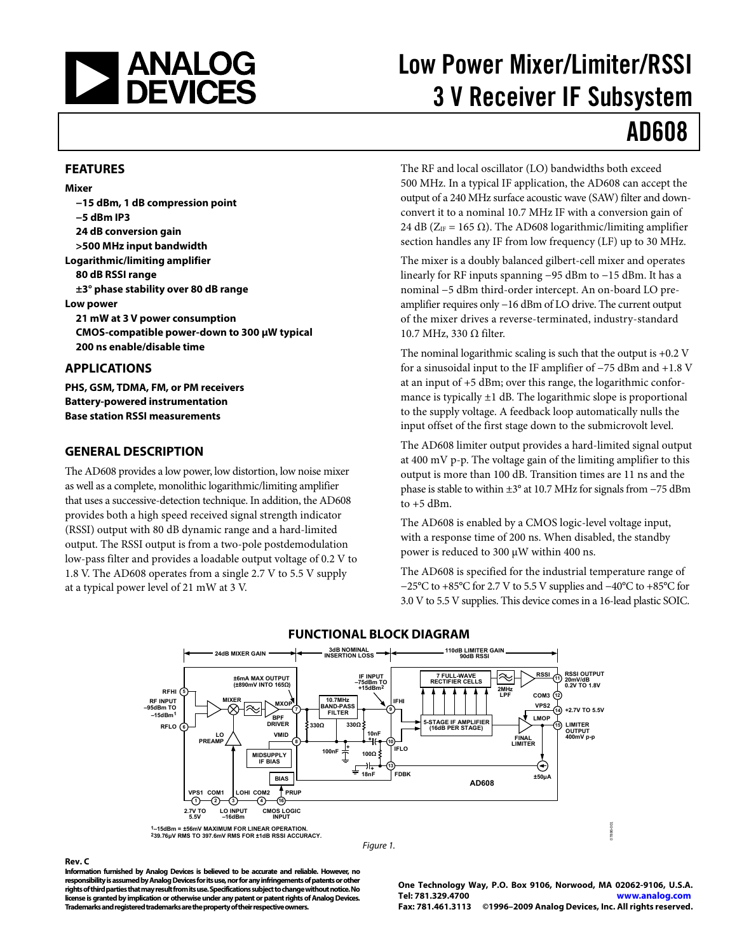<span id="page-0-0"></span>

# Low Power Mixer/Limiter/RSSI 3 V Receiver IF Subsystem

# AD608

#### **FEATURES**

**Mixer −15 dBm, 1 dB compression point −5 dBm IP3 24 dB conversion gain >500 MHz input bandwidth Logarithmic/limiting amplifier 80 dB RSSI range ±3° phase stability over 80 dB range Low power 21 mW at 3 V power consumption CMOS-compatible power-down to 300 μW typical 200 ns enable/disable time APPLICATIONS** 

**PHS, GSM, TDMA, FM, or PM receivers Battery-powered instrumentation Base station RSSI measurements** 

#### **GENERAL DESCRIPTION**

The AD608 provides a low power, low distortion, low noise mixer as well as a complete, monolithic logarithmic/limiting amplifier that uses a successive-detection technique. In addition, the AD608 provides both a high speed received signal strength indicator (RSSI) output with 80 dB dynamic range and a hard-limited output. The RSSI output is from a two-pole postdemodulation low-pass filter and provides a loadable output voltage of 0.2 V to 1.8 V. The AD608 operates from a single 2.7 V to 5.5 V supply at a typical power level of 21 mW at 3 V.

The RF and local oscillator (LO) bandwidths both exceed 500 MHz. In a typical IF application, the AD608 can accept the output of a 240 MHz surface acoustic wave (SAW) filter and downconvert it to a nominal 10.7 MHz IF with a conversion gain of 24 dB ( $Z_{IF}$  = 165  $\Omega$ ). The AD608 logarithmic/limiting amplifier section handles any IF from low frequency (LF) up to 30 MHz.

The mixer is a doubly balanced gilbert-cell mixer and operates linearly for RF inputs spanning −95 dBm to −15 dBm. It has a nominal −5 dBm third-order intercept. An on-board LO preamplifier requires only −16 dBm of LO drive. The current output of the mixer drives a reverse-terminated, industry-standard 10.7 MHz, 330 Ω filter.

The nominal logarithmic scaling is such that the output is +0.2 V for a sinusoidal input to the IF amplifier of −75 dBm and +1.8 V at an input of +5 dBm; over this range, the logarithmic conformance is typically  $\pm 1$  dB. The logarithmic slope is proportional to the supply voltage. A feedback loop automatically nulls the input offset of the first stage down to the submicrovolt level.

The AD608 limiter output provides a hard-limited signal output at 400 mV p-p. The voltage gain of the limiting amplifier to this output is more than 100 dB. Transition times are 11 ns and the phase is stable to within ±3° at 10.7 MHz for signals from −75 dBm to  $+5$  dBm.

The AD608 is enabled by a CMOS logic-level voltage input, with a response time of 200 ns. When disabled, the standby power is reduced to 300 μW within 400 ns.

The AD608 is specified for the industrial temperature range of −25°C to +85°C for 2.7 V to 5.5 V supplies and −40°C to +85°C for 3.0 V to 5.5 V supplies. This device comes in a 16-lead plastic SOIC.



#### **FUNCTIONAL BLOCK DIAGRAM**

#### **Rev. C**

**Information furnished by Analog Devices is believed to be accurate and reliable. However, no responsibility is assumed by Analog Devices for its use, nor for any infringements of patents or other rights of third parties that may result from its use. Specifications subject to change without notice. No license is granted by implication or otherwise under any patent or patent rights of Analog Devices. Trademarks and registered trademarks are the property of their respective owners.** 

**One Technology Way, P.O. Box 9106, Norwood, MA 02062-9106, U.S.A. Tel: 781.329.4700 www.analog.com Fax: 781.461.3113 ©1996–2009 Analog Devices, Inc. All rights reserved.**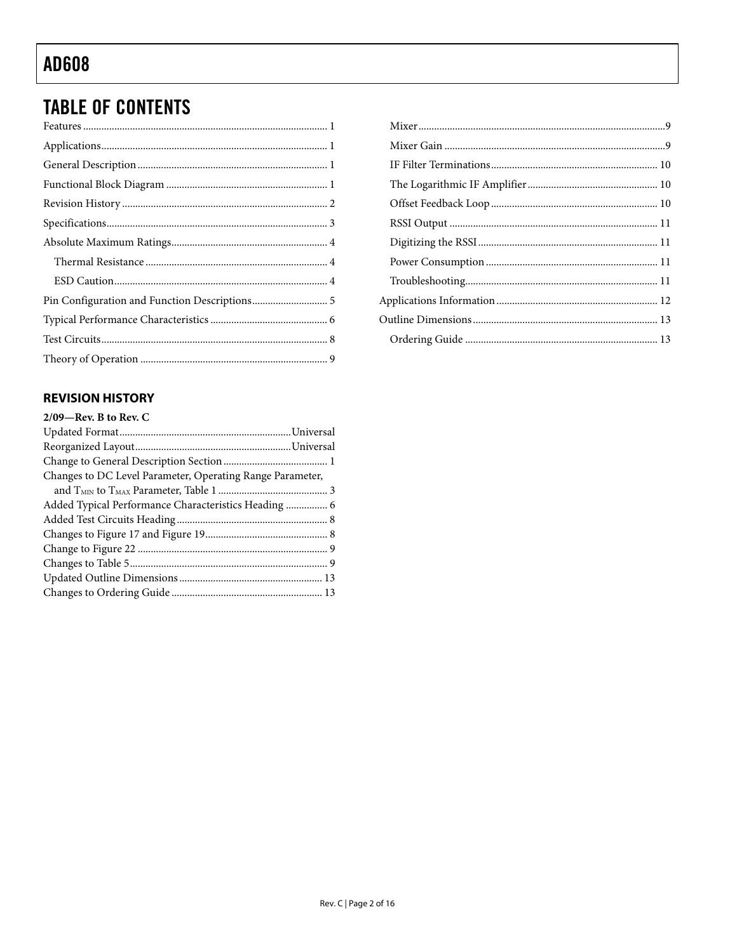# <span id="page-1-0"></span>**TABLE OF CONTENTS**

### **REVISION HISTORY**

| $2/09$ —Rev. B to Rev. C                                  |  |
|-----------------------------------------------------------|--|
|                                                           |  |
|                                                           |  |
|                                                           |  |
| Changes to DC Level Parameter, Operating Range Parameter, |  |
|                                                           |  |
|                                                           |  |
|                                                           |  |
|                                                           |  |
|                                                           |  |
|                                                           |  |
|                                                           |  |
|                                                           |  |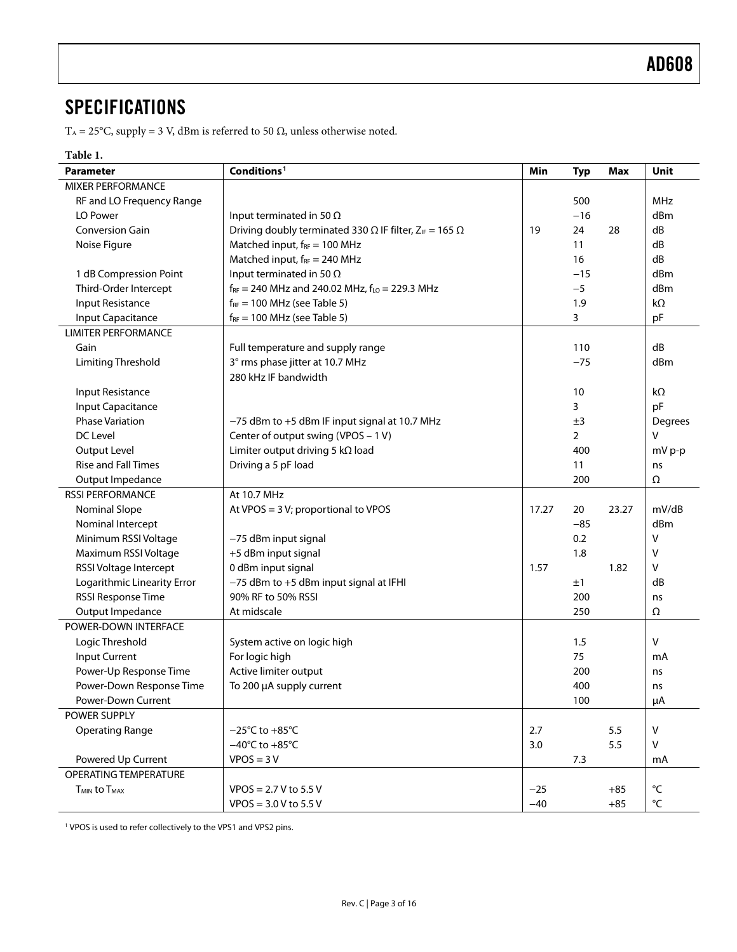### <span id="page-2-0"></span>**SPECIFICATIONS**

T<sub>A</sub> = 25°C, supply = 3 V, dBm is referred to 50 Ω, unless otherwise noted.

### **Table 1.**

| Conditions <sup>1</sup><br>Min<br><b>Parameter</b> |                                                                         |       |                | <b>Max</b> | Unit              |
|----------------------------------------------------|-------------------------------------------------------------------------|-------|----------------|------------|-------------------|
| <b>MIXER PERFORMANCE</b>                           |                                                                         |       |                |            |                   |
| RF and LO Frequency Range                          |                                                                         |       |                |            | <b>MHz</b>        |
| LO Power                                           | Input terminated in 50 $\Omega$                                         |       | $-16$          |            | dBm               |
| <b>Conversion Gain</b>                             | Driving doubly terminated 330 $\Omega$ IF filter, $Z_{IF} = 165 \Omega$ |       | 24             | 28         | dB                |
| Noise Figure                                       | Matched input, $f_{RF} = 100$ MHz                                       |       | 11             |            | dB                |
|                                                    | Matched input, $f_{RF} = 240$ MHz                                       |       | 16             |            | dB                |
| 1 dB Compression Point                             | Input terminated in 50 $\Omega$                                         |       | $-15$          |            | dBm               |
| Third-Order Intercept                              | $f_{RF}$ = 240 MHz and 240.02 MHz, $f_{LO}$ = 229.3 MHz                 |       | $-5$           |            | dBm               |
| Input Resistance                                   | $f_{RF}$ = 100 MHz (see Table 5)                                        |       | 1.9            |            | $k\Omega$         |
| <b>Input Capacitance</b>                           | $f_{RF}$ = 100 MHz (see Table 5)                                        |       | 3              |            | pF                |
| <b>LIMITER PERFORMANCE</b>                         |                                                                         |       |                |            |                   |
| Gain                                               | Full temperature and supply range                                       |       | 110            |            | dB                |
| <b>Limiting Threshold</b>                          | 3° rms phase jitter at 10.7 MHz                                         |       | $-75$          |            | dBm               |
|                                                    | 280 kHz IF bandwidth                                                    |       |                |            |                   |
| Input Resistance                                   |                                                                         |       | 10             |            | $k\Omega$         |
| <b>Input Capacitance</b>                           |                                                                         |       | 3              |            | pF                |
| <b>Phase Variation</b>                             | -75 dBm to +5 dBm IF input signal at 10.7 MHz                           |       | ±3             |            | Degrees           |
| DC Level                                           | Center of output swing (VPOS - 1 V)                                     |       | $\overline{2}$ |            | V                 |
| Output Level                                       | Limiter output driving 5 $k\Omega$ load                                 |       | 400            |            | mV p-p            |
| <b>Rise and Fall Times</b>                         | Driving a 5 pF load                                                     |       | 11             |            | ns                |
| Output Impedance                                   |                                                                         |       | 200            |            | Ω                 |
| <b>RSSI PERFORMANCE</b>                            | At 10.7 MHz                                                             |       |                |            |                   |
| <b>Nominal Slope</b>                               | At VPOS = 3 V; proportional to VPOS                                     | 17.27 | 20             | 23.27      | mV/dB             |
| Nominal Intercept                                  |                                                                         |       | $-85$          |            | dBm               |
| Minimum RSSI Voltage                               | -75 dBm input signal                                                    |       | 0.2            |            | ٧                 |
| Maximum RSSI Voltage<br>+5 dBm input signal        |                                                                         |       | 1.8            |            | V                 |
| RSSI Voltage Intercept                             | 0 dBm input signal                                                      | 1.57  |                | 1.82       | ٧                 |
| Logarithmic Linearity Error                        | -75 dBm to +5 dBm input signal at IFHI                                  |       | ±1             |            | dB                |
| RSSI Response Time                                 | 90% RF to 50% RSSI                                                      |       | 200            |            | ns                |
| Output Impedance                                   | At midscale                                                             |       | 250            |            | Ω                 |
| POWER-DOWN INTERFACE                               |                                                                         |       |                |            |                   |
| Logic Threshold                                    | System active on logic high                                             |       | 1.5            |            | v                 |
| Input Current                                      | For logic high                                                          |       | 75             |            | mA                |
| Power-Up Response Time                             | Active limiter output                                                   |       | 200            |            | ns                |
| Power-Down Response Time                           | To 200 µA supply current                                                |       | 400            |            | ns                |
| Power-Down Current                                 |                                                                         |       | 100            |            | μA                |
| POWER SUPPLY                                       |                                                                         |       |                |            |                   |
| <b>Operating Range</b>                             | $-25^{\circ}$ C to +85 $^{\circ}$ C                                     | 2.7   |                | 5.5        | v                 |
|                                                    | $-40^{\circ}$ C to $+85^{\circ}$ C                                      | 3.0   |                | 5.5        | v                 |
| Powered Up Current                                 | $VPOS = 3V$                                                             |       | 7.3            |            | mA                |
| OPERATING TEMPERATURE                              |                                                                         |       |                |            |                   |
| <b>T<sub>MIN</sub></b> to T <sub>MAX</sub>         | $VPOS = 2.7 V to 5.5 V$                                                 | $-25$ |                | $+85$      | $^{\circ}{\sf C}$ |
|                                                    | $VPOS = 3.0 V to 5.5 V$                                                 | $-40$ |                | $+85$      | °C                |

<span id="page-2-1"></span><sup>1</sup> VPOS is used to refer collectively to the VPS1 and VPS2 pins.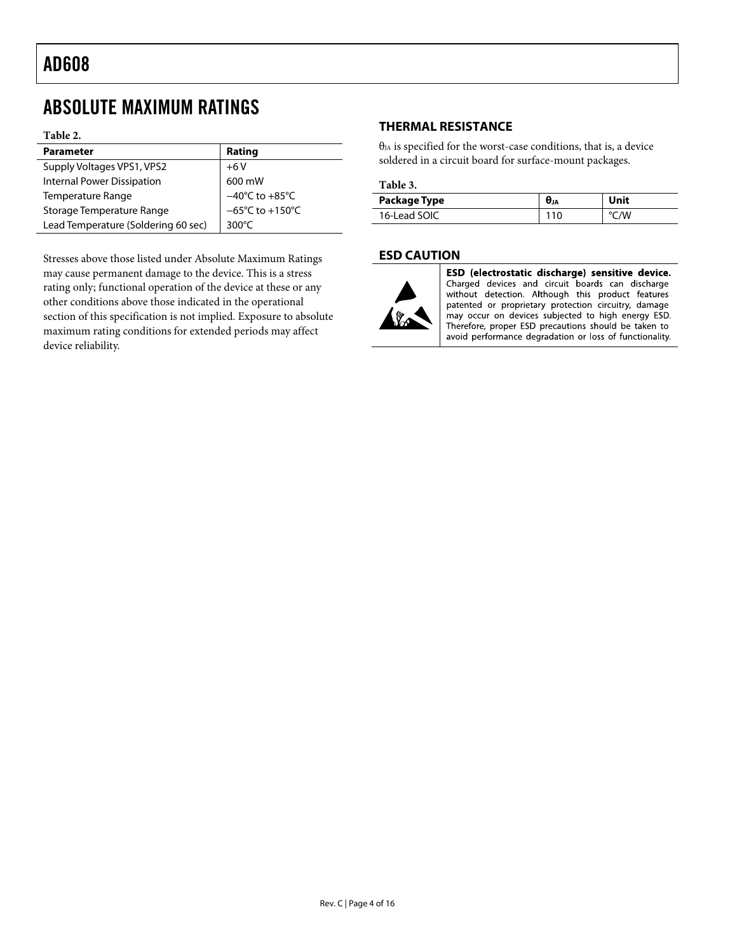## <span id="page-3-0"></span>ABSOLUTE MAXIMUM RATINGS

#### **Table 2.**

| <b>Parameter</b>                    | Rating                               |
|-------------------------------------|--------------------------------------|
| Supply Voltages VPS1, VPS2          | $+6V$                                |
| Internal Power Dissipation          | 600 mW                               |
| Temperature Range                   | $-40^{\circ}$ C to $+85^{\circ}$ C   |
| Storage Temperature Range           | $-65^{\circ}$ C to +150 $^{\circ}$ C |
| Lead Temperature (Soldering 60 sec) | 300 $\degree$ C                      |
|                                     |                                      |

Stresses above those listed under Absolute Maximum Ratings may cause permanent damage to the device. This is a stress rating only; functional operation of the device at these or any other conditions above those indicated in the operational section of this specification is not implied. Exposure to absolute maximum rating conditions for extended periods may affect device reliability.

### **THERMAL RESISTANCE**

 $\theta_{JA}$  is specified for the worst-case conditions, that is, a device soldered in a circuit board for surface-mount packages.

#### **Table 3.**

| Package Type | θ」A | Unit |
|--------------|-----|------|
| 16-Lead SOIC |     | °C/W |

### **ESD CAUTION**



ESD (electrostatic discharge) sensitive device. Charged devices and circuit boards can discharge without detection. Although this product features patented or proprietary protection circuitry, damage may occur on devices subjected to high energy ESD. Therefore, proper ESD precautions should be taken to avoid performance degradation or loss of functionality.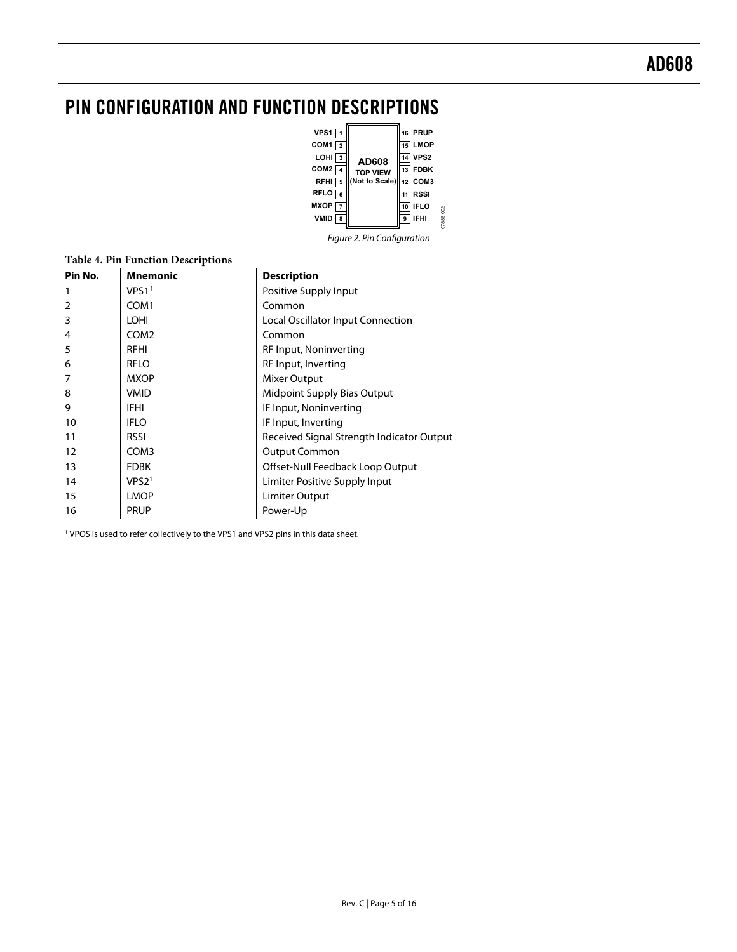## <span id="page-4-0"></span>PIN CONFIGURATION AND FUNCTION DESCRIPTIONS



Figure 2. Pin Configuration

| Pin No. | <b>Mnemonic</b>   | <b>Description</b>                        |
|---------|-------------------|-------------------------------------------|
|         | VPS1 <sup>1</sup> | Positive Supply Input                     |
| 2       | COM <sub>1</sub>  | Common                                    |
| 3       | <b>LOHI</b>       | Local Oscillator Input Connection         |
| 4       | COM <sub>2</sub>  | Common                                    |
| 5       | RFHI              | RF Input, Noninverting                    |
| 6       | <b>RFLO</b>       | RF Input, Inverting                       |
|         | <b>MXOP</b>       | Mixer Output                              |
| 8       | <b>VMID</b>       | <b>Midpoint Supply Bias Output</b>        |
| 9       | <b>IFHI</b>       | IF Input, Noninverting                    |
| 10      | <b>IFLO</b>       | IF Input, Inverting                       |
| 11      | <b>RSSI</b>       | Received Signal Strength Indicator Output |
| 12      | COM <sub>3</sub>  | <b>Output Common</b>                      |
| 13      | <b>FDBK</b>       | Offset-Null Feedback Loop Output          |
| 14      | VPS2 <sup>1</sup> | Limiter Positive Supply Input             |
| 15      | <b>LMOP</b>       | Limiter Output                            |
| 16      | <b>PRUP</b>       | Power-Up                                  |

**Table 4. Pin Function Descriptions** 

<sup>1</sup> VPOS is used to refer collectively to the VPS1 and VPS2 pins in this data sheet.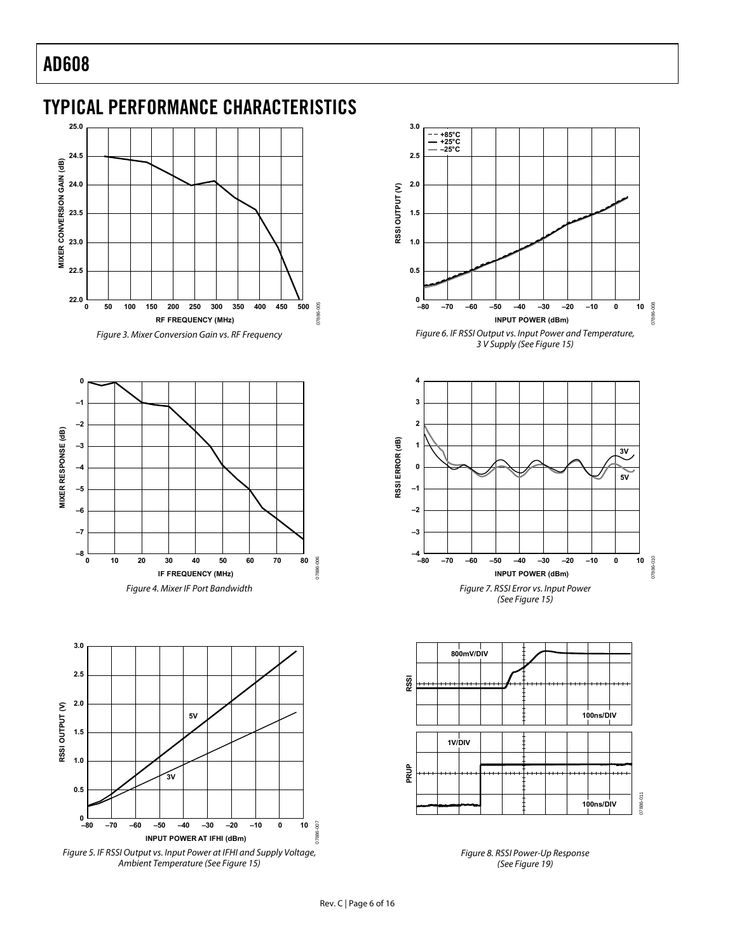### <span id="page-5-0"></span>TYPICAL PERFORMANCE CHARACTERISTICS



Figure 3. Mixer Conversion Gain vs. RF Frequency

<span id="page-5-2"></span>

<span id="page-5-3"></span>

<span id="page-5-4"></span><span id="page-5-1"></span>Figure 5. IF RSSI Output vs. Input Power at IFHI and Supply Voltage, Ambient Temperature (See [Figure 15](#page-7-1))









Figure 8. RSSI Power-Up Response (See [Figure 19](#page-7-1))

07886-007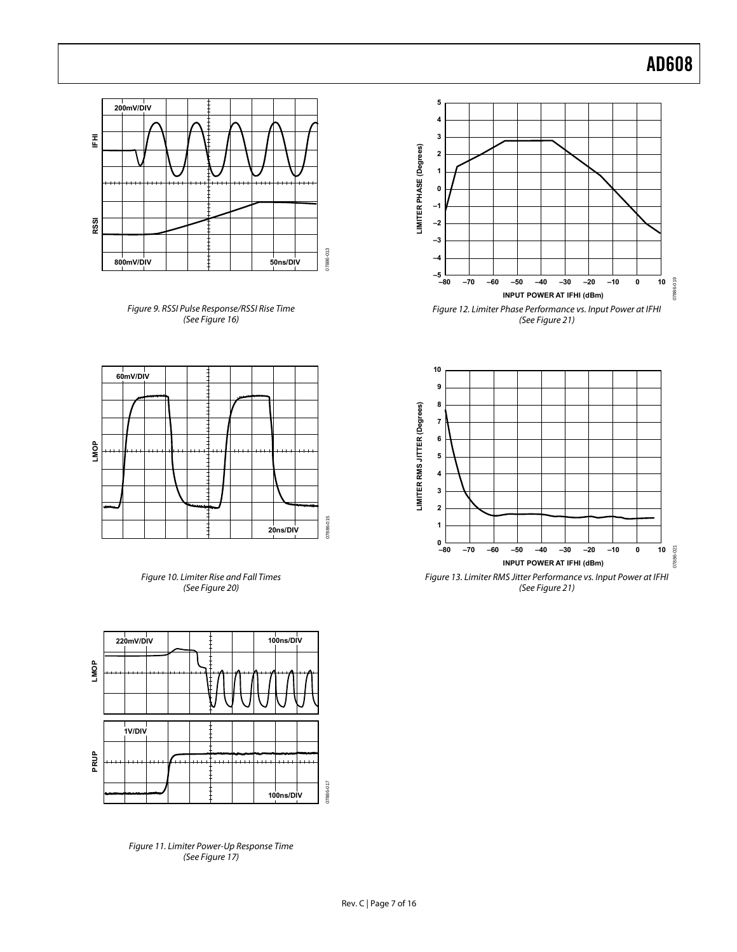



<span id="page-6-0"></span>



<span id="page-6-2"></span>

<span id="page-6-1"></span>Figure 11. Limiter Power-Up Response Time (See [Figure 17](#page-7-3))





Figure 13. Limiter RMS Jitter Performance vs. Input Power at IFHI (See [Figure 21](#page-7-3))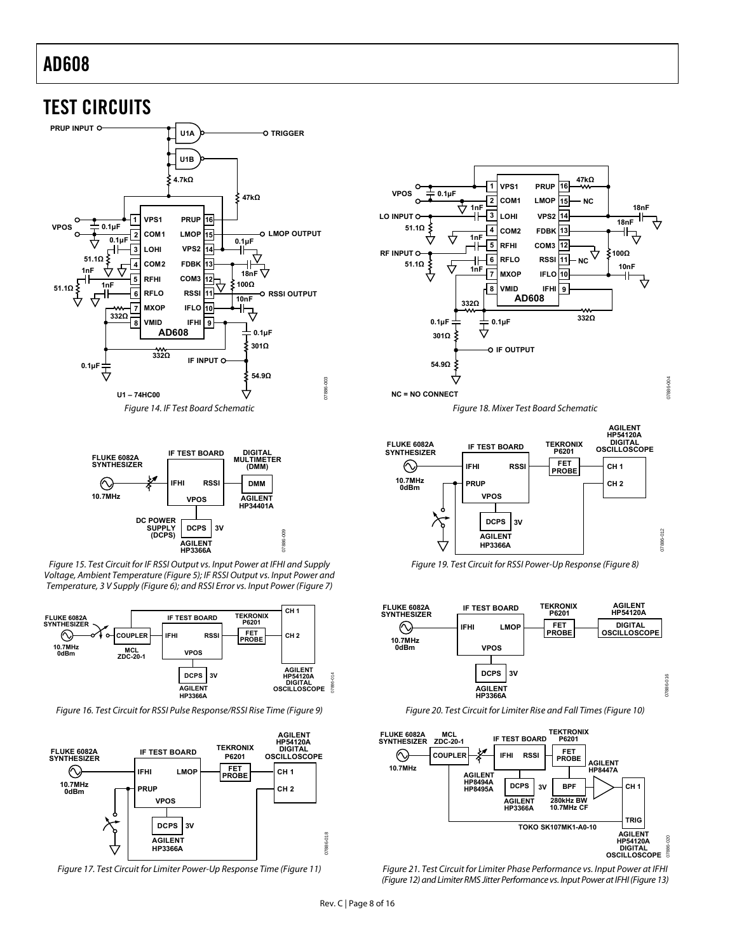<span id="page-7-0"></span>



<span id="page-7-1"></span>Figure 15. Test Circuit for IF RSSI Output vs. Input Power at IFHI and Supply Voltage, Ambient Temperature [\(Figure 5](#page-5-1)); IF RSSI Output vs. Input Power and Temperature, 3 V Supply ([Figure 6](#page-5-2)); and RSSI Error vs. Input Power ([Figure 7](#page-5-3))



Figure 16. Test Circuit for RSSI Pulse Response/RSSI Rise Time [\(Figure 9\)](#page-6-0)

<span id="page-7-2"></span>

<span id="page-7-3"></span>Figure 17. Test Circuit for Limiter Power-Up Response Time [\(Figure 11\)](#page-6-1)



Figure 18. Mixer Test Board Schematic



Figure 19. Test Circuit for RSSI Power-Up Response [\(Figure 8\)](#page-5-4)



Figure 20. Test Circuit for Limiter Rise and Fall Times [\(Figure 10\)](#page-6-2)



Figure 21. Test Circuit for Limiter Phase Performance vs. Input Power at IFHI [\(Figure 12\)](#page-6-0) and Limiter RMS Jitter Performance vs. Input Power at IFHI [\(Figure 13\)](#page-6-2)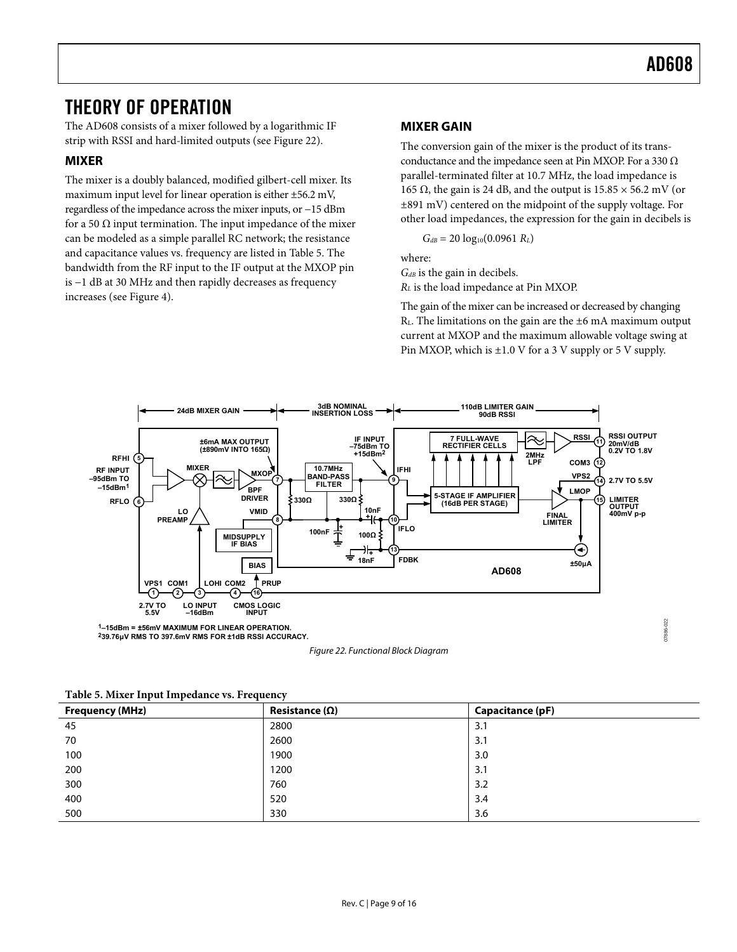### <span id="page-8-0"></span>THEORY OF OPERATION

The AD608 consists of a mixer followed by a logarithmic IF strip with RSSI and hard-limited outputs (see [Figure 22\)](#page-8-2).

### **MIXER**

The mixer is a doubly balanced, modified gilbert-cell mixer. Its maximum input level for linear operation is either ±56.2 mV, regardless of the impedance across the mixer inputs, or −15 dBm for a 50  $\Omega$  input termination. The input impedance of the mixer can be modeled as a simple parallel RC network; the resistance and capacitance values vs. frequency are listed in [Table 5](#page-8-1). The bandwidth from the RF input to the IF output at the MXOP pin is −1 dB at 30 MHz and then rapidly decreases as frequency increases (see [Figure 4\)](#page-5-3).

### **MIXER GAIN**

The conversion gain of the mixer is the product of its transconductance and the impedance seen at Pin MXOP. For a 330  $\Omega$ parallel-terminated filter at 10.7 MHz, the load impedance is 165 Ω, the gain is 24 dB, and the output is  $15.85 \times 56.2$  mV (or ±891 mV) centered on the midpoint of the supply voltage. For other load impedances, the expression for the gain in decibels is

 $G_{dB} = 20 \log_{10}(0.0961 R_L)$ 

where:

*GdB* is the gain in decibels.

*RL* is the load impedance at Pin MXOP.

The gain of the mixer can be increased or decreased by changing  $R<sub>L</sub>$ . The limitations on the gain are the  $\pm 6$  mA maximum output current at MXOP and the maximum allowable voltage swing at Pin MXOP, which is  $\pm 1.0$  V for a 3 V supply or 5 V supply.



Figure 22. Functional Block Diagram

<span id="page-8-1"></span>

| <b>Frequency (MHz)</b> | Resistance $(\Omega)$ | Capacitance (pF) |
|------------------------|-----------------------|------------------|
| 45                     | 2800                  | 3.1              |
| 70                     | 2600                  | 3.1              |
| 100                    | 1900                  | 3.0              |
| 200                    | 1200                  | 3.1              |
| 300                    | 760                   | 3.2              |
| 400                    | 520                   | 3.4              |
| 500                    | 330                   | 3.6              |

<span id="page-8-2"></span>**Table 5. Mixer Input Impedance vs. Frequency**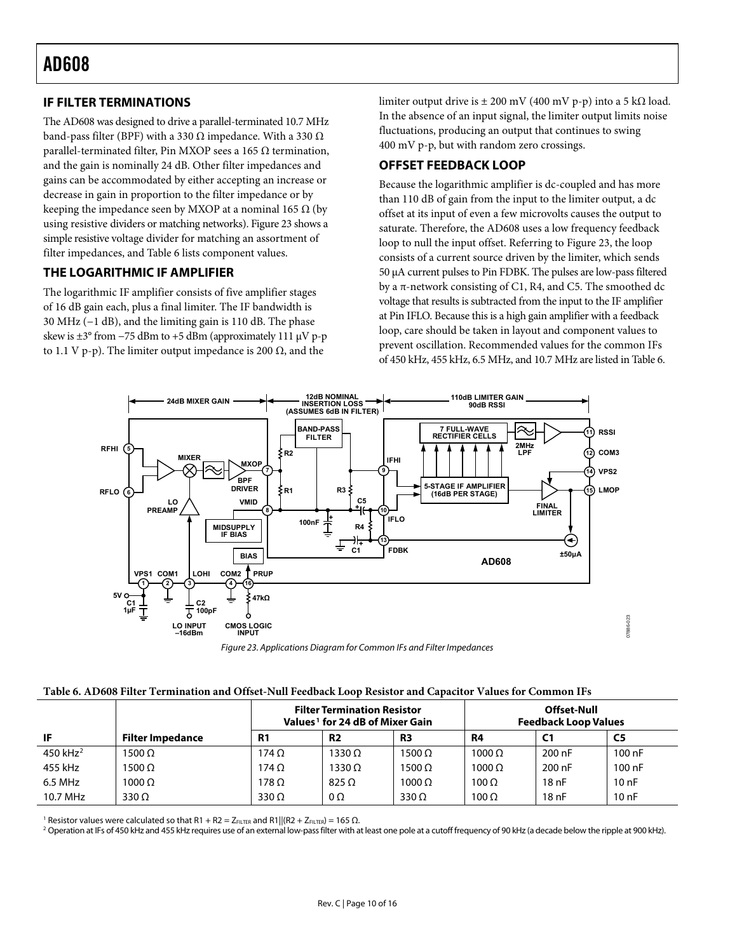### <span id="page-9-0"></span>**IF FILTER TERMINATIONS**

The AD608 was designed to drive a parallel-terminated 10.7 MHz band-pass filter (BPF) with a 330 Ω impedance. With a 330  $Ω$ parallel-terminated filter, Pin MXOP sees a 165 Ω termination, and the gain is nominally 24 dB. Other filter impedances and gains can be accommodated by either accepting an increase or decrease in gain in proportion to the filter impedance or by keeping the impedance seen by MXOP at a nominal 165  $\Omega$  (by using resistive dividers or matching networks). [Figure 23](#page-9-1) shows a simple resistive voltage divider for matching an assortment of filter impedances, and [Table 6](#page-9-2) lists component values.

### **THE LOGARITHMIC IF AMPLIFIER**

The logarithmic IF amplifier consists of five amplifier stages of 16 dB gain each, plus a final limiter. The IF bandwidth is 30 MHz (−1 dB), and the limiting gain is 110 dB. The phase skew is  $\pm 3^{\circ}$  from  $-75$  dBm to  $+5$  dBm (approximately 111  $\mu$ V p-p to 1.1 V p-p). The limiter output impedance is 200  $Ω$ , and the

limiter output drive is  $\pm 200$  mV (400 mV p-p) into a 5 kΩ load. In the absence of an input signal, the limiter output limits noise fluctuations, producing an output that continues to swing 400 mV p-p, but with random zero crossings.

### **OFFSET FEEDBACK LOOP**

Because the logarithmic amplifier is dc-coupled and has more than 110 dB of gain from the input to the limiter output, a dc offset at its input of even a few microvolts causes the output to saturate. Therefore, the AD608 uses a low frequency feedback loop to null the input offset. Referring to [Figure 23](#page-9-1), the loop consists of a current source driven by the limiter, which sends 50 μA current pulses to Pin FDBK. The pulses are low-pass filtered by a π-network consisting of C1, R4, and C5. The smoothed dc voltage that results is subtracted from the input to the IF amplifier at Pin IFLO. Because this is a high gain amplifier with a feedback loop, care should be taken in layout and component values to prevent oscillation. Recommended values for the common IFs of 450 kHz, 455 kHz, 6.5 MHz, and 10.7 MHz are listed in [Table 6](#page-9-2).



Figure 23. Applications Diagram for Common IFs and Filter Impedances

<span id="page-9-1"></span>

<span id="page-9-2"></span>

|             |                         | <b>Filter Termination Resistor</b><br>Values <sup>1</sup> for 24 dB of Mixer Gain |                |               | Offset-Null<br><b>Feedback Loop Values</b> |                |        |
|-------------|-------------------------|-----------------------------------------------------------------------------------|----------------|---------------|--------------------------------------------|----------------|--------|
| IF          | <b>Filter Impedance</b> | R <sub>1</sub>                                                                    | R <sub>2</sub> | R3            | R4                                         | C <sub>1</sub> | C5     |
| 450 $kHz^2$ | 1500 Ω                  | 174 $\Omega$                                                                      | 1330 Ω         | 1500 $\Omega$ | 1000 Ω                                     | 200 nF         | 100 nF |
| 455 kHz     | 1500 Ω                  | $174 \Omega$                                                                      | 1330 Ω         | $1500 \Omega$ | $1000 \Omega$                              | 200 nF         | 100 nF |
| 6.5 MHz     | $1000 \Omega$           | $178\,\Omega$                                                                     | $825 \Omega$   | $1000 \Omega$ | $100 \Omega$                               | 18nF           | 10nF   |
| 10.7 MHz    | 330 $\Omega$            | $330 \Omega$                                                                      | $0\Omega$      | $330 \Omega$  | $100 \Omega$                               | 18nF           | 10nF   |

 $^1$  Resistor values were calculated so that R1 + R2 = Z $_{\rm FLTER}$  and R1]|(R2 + Z $_{\rm FLTER}$ ) = 165 Ω.<br>2 Operation at IEs of 450 kHz and 455 kHz requires use of an external low-pass filter with at

<sup>2</sup> Operation at IFs of 450 kHz and 455 kHz requires use of an external low-pass filter with at least one pole at a cutoff frequency of 90 kHz (a decade below the ripple at 900 kHz).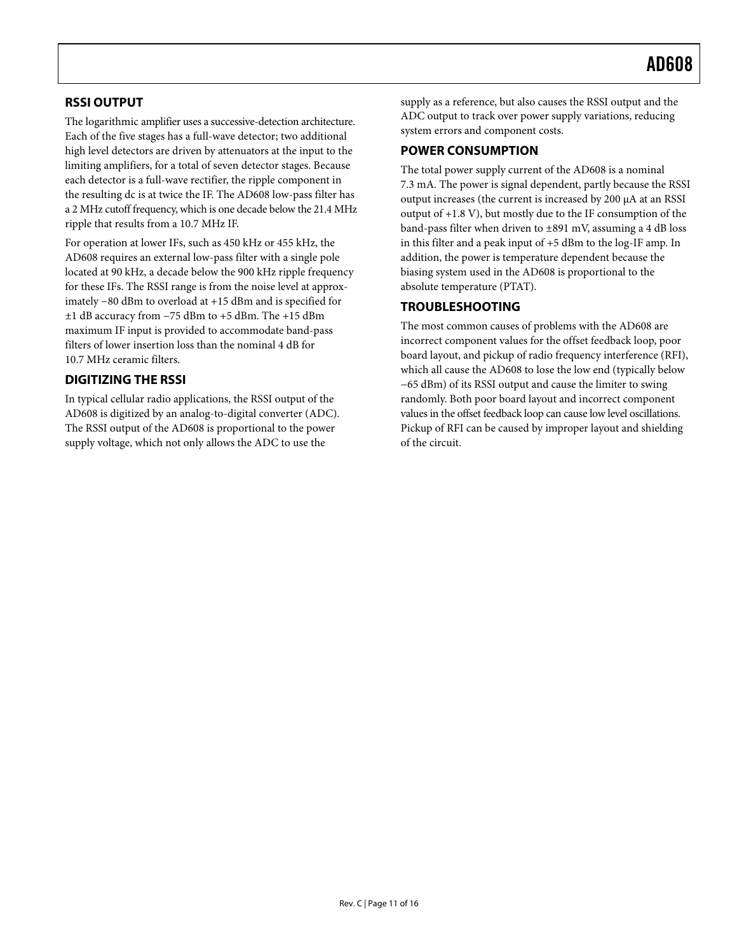### <span id="page-10-0"></span>**RSSI OUTPUT**

The logarithmic amplifier uses a successive-detection architecture. Each of the five stages has a full-wave detector; two additional high level detectors are driven by attenuators at the input to the limiting amplifiers, for a total of seven detector stages. Because each detector is a full-wave rectifier, the ripple component in the resulting dc is at twice the IF. The AD608 low-pass filter has a 2 MHz cutoff frequency, which is one decade below the 21.4 MHz ripple that results from a 10.7 MHz IF.

For operation at lower IFs, such as 450 kHz or 455 kHz, the AD608 requires an external low-pass filter with a single pole located at 90 kHz, a decade below the 900 kHz ripple frequency for these IFs. The RSSI range is from the noise level at approximately −80 dBm to overload at +15 dBm and is specified for ±1 dB accuracy from −75 dBm to +5 dBm. The +15 dBm maximum IF input is provided to accommodate band-pass filters of lower insertion loss than the nominal 4 dB for 10.7 MHz ceramic filters.

### **DIGITIZING THE RSSI**

In typical cellular radio applications, the RSSI output of the AD608 is digitized by an analog-to-digital converter (ADC). The RSSI output of the AD608 is proportional to the power supply voltage, which not only allows the ADC to use the

supply as a reference, but also causes the RSSI output and the ADC output to track over power supply variations, reducing system errors and component costs.

#### **POWER CONSUMPTION**

The total power supply current of the AD608 is a nominal 7.3 mA. The power is signal dependent, partly because the RSSI output increases (the current is increased by 200 μA at an RSSI output of +1.8 V), but mostly due to the IF consumption of the band-pass filter when driven to ±891 mV, assuming a 4 dB loss in this filter and a peak input of +5 dBm to the log-IF amp. In addition, the power is temperature dependent because the biasing system used in the AD608 is proportional to the absolute temperature (PTAT).

### **TROUBLESHOOTING**

The most common causes of problems with the AD608 are incorrect component values for the offset feedback loop, poor board layout, and pickup of radio frequency interference (RFI), which all cause the AD608 to lose the low end (typically below −65 dBm) of its RSSI output and cause the limiter to swing randomly. Both poor board layout and incorrect component values in the offset feedback loop can cause low level oscillations. Pickup of RFI can be caused by improper layout and shielding of the circuit.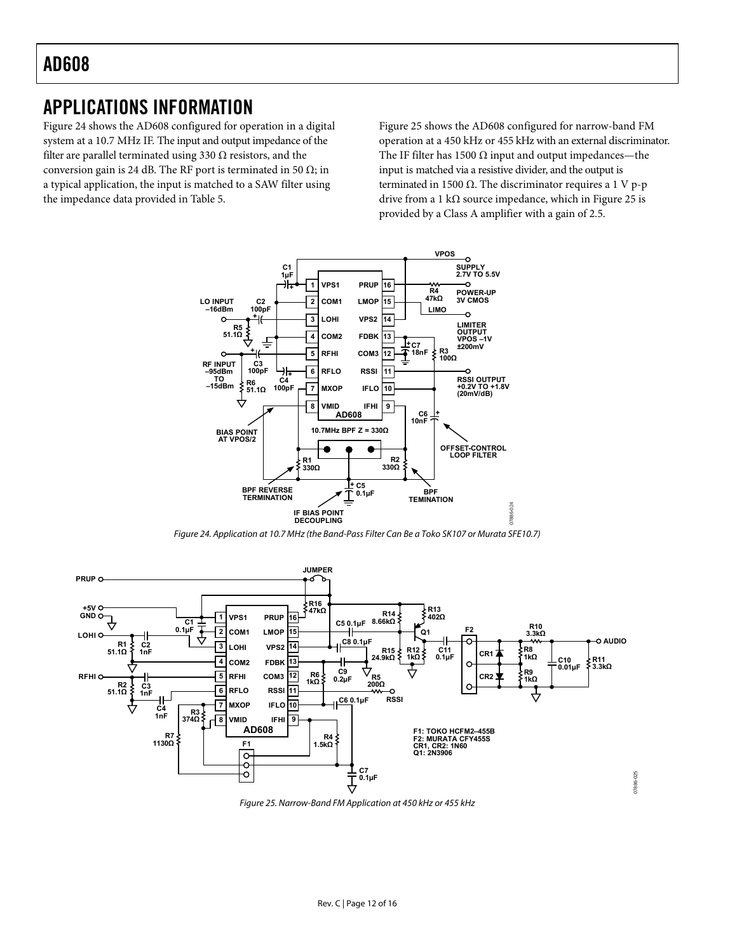### <span id="page-11-0"></span>APPLICATIONS INFORMATION

[Figure 24](#page-11-1) shows the AD608 configured for operation in a digital system at a 10.7 MHz IF. The input and output impedance of the filter are parallel terminated using 330  $\Omega$  resistors, and the conversion gain is 24 dB. The RF port is terminated in 50  $\Omega$ ; in a typical application, the input is matched to a SAW filter using the impedance data provided in [Table 5](#page-8-1).

[Figure 25](#page-11-2) shows the AD608 configured for narrow-band FM operation at a 450 kHz or 455 kHz with an external discriminator. The IF filter has 1500  $\Omega$  input and output impedances—the input is matched via a resistive divider, and the output is terminated in 1500  $Ω$ . The discriminator requires a 1 V p-p drive from a 1 k $\Omega$  source impedance, which in [Figure 25](#page-11-2) is provided by a Class A amplifier with a gain of 2.5.



Figure 24. Application at 10.7 MHz (the Band-Pass Filter Can Be a Toko SK107 or Murata SFE10.7)

<span id="page-11-1"></span>

<span id="page-11-2"></span>Figure 25. Narrow-Band FM Application at 450 kHz or 455 kHz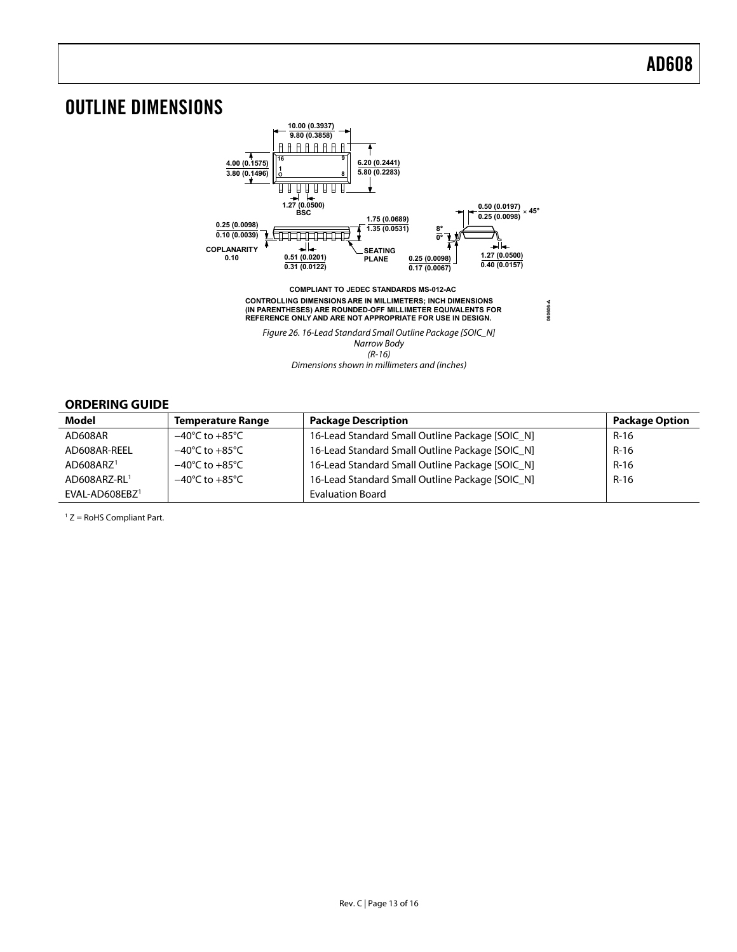### <span id="page-12-0"></span>OUTLINE DIMENSIONS



### **ORDERING GUIDE**

| Model                 | <b>Temperature Range</b>           | <b>Package Description</b>                      | <b>Package Option</b> |
|-----------------------|------------------------------------|-------------------------------------------------|-----------------------|
| AD608AR               | $-40^{\circ}$ C to $+85^{\circ}$ C | 16-Lead Standard Small Outline Package [SOIC N] | $R-16$                |
| AD608AR-REEL          | $-40^{\circ}$ C to $+85^{\circ}$ C | 16-Lead Standard Small Outline Package [SOIC N] | $R-16$                |
| AD608ARZ <sup>1</sup> | $-40^{\circ}$ C to $+85^{\circ}$ C | 16-Lead Standard Small Outline Package [SOIC_N] | $R-16$                |
| AD608ARZ-RL1          | $-40^{\circ}$ C to $+85^{\circ}$ C | 16-Lead Standard Small Outline Package [SOIC_N] | $R-16$                |
| $EVAL-AD608EBZ1$      |                                    | <b>Evaluation Board</b>                         |                       |

 $1 Z =$  RoHS Compliant Part.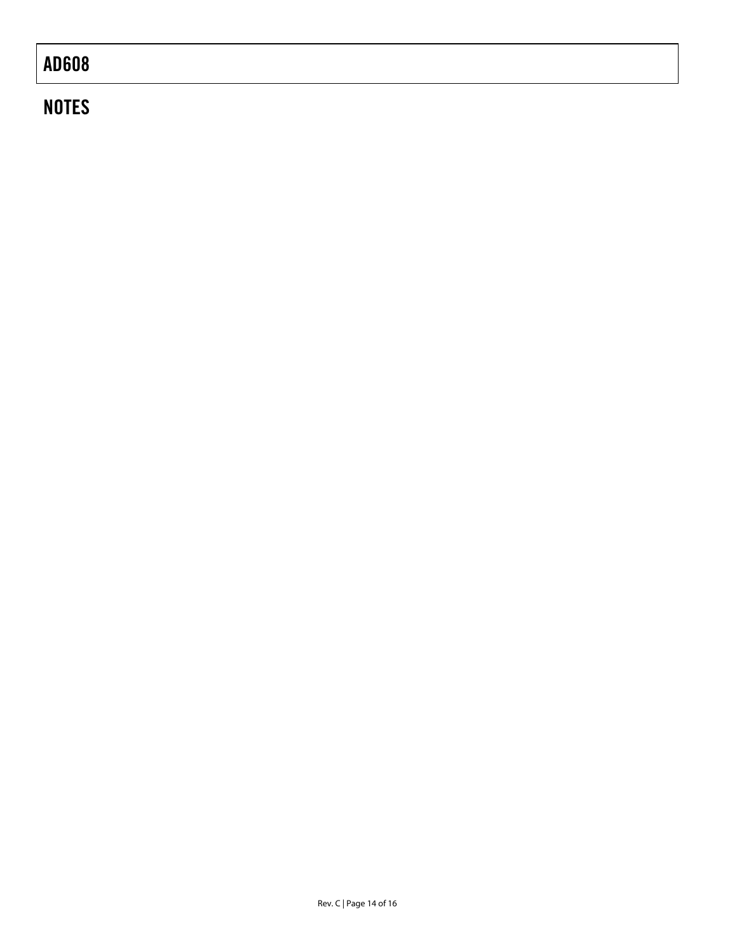# **NOTES**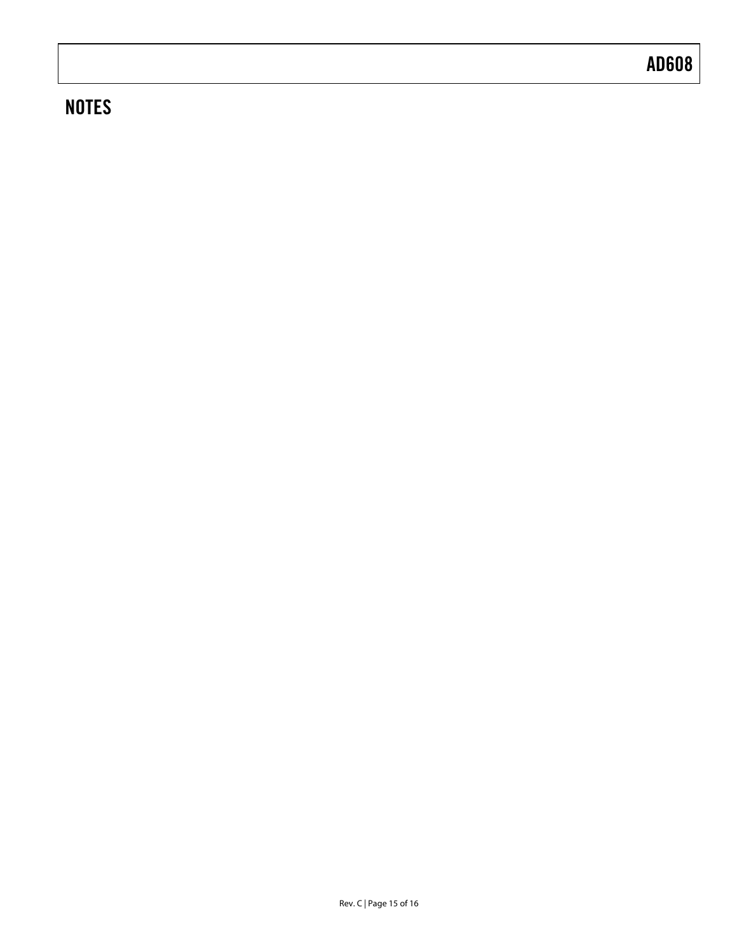# **NOTES**